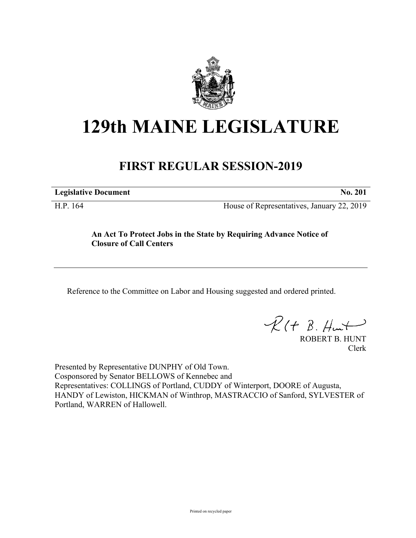

# **129th MAINE LEGISLATURE**

# **FIRST REGULAR SESSION-2019**

**Legislative Document No. 201**

H.P. 164 House of Representatives, January 22, 2019

# **An Act To Protect Jobs in the State by Requiring Advance Notice of Closure of Call Centers**

Reference to the Committee on Labor and Housing suggested and ordered printed.

 $R(t B. Hmt)$ 

ROBERT B. HUNT Clerk

Presented by Representative DUNPHY of Old Town. Cosponsored by Senator BELLOWS of Kennebec and Representatives: COLLINGS of Portland, CUDDY of Winterport, DOORE of Augusta, HANDY of Lewiston, HICKMAN of Winthrop, MASTRACCIO of Sanford, SYLVESTER of Portland, WARREN of Hallowell.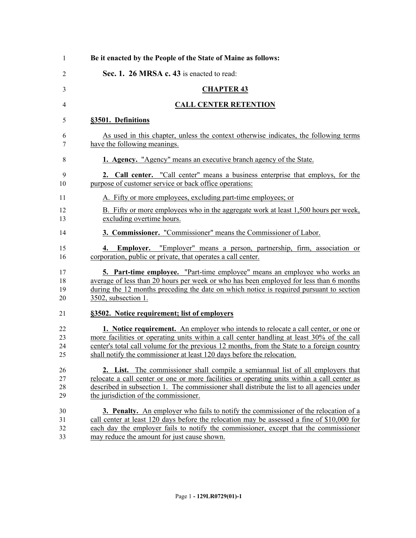| 1                    | Be it enacted by the People of the State of Maine as follows:                                                                                                                                                                                                                                                                                                   |
|----------------------|-----------------------------------------------------------------------------------------------------------------------------------------------------------------------------------------------------------------------------------------------------------------------------------------------------------------------------------------------------------------|
| 2                    | Sec. 1. 26 MRSA c. 43 is enacted to read:                                                                                                                                                                                                                                                                                                                       |
| 3                    | <b>CHAPTER 43</b>                                                                                                                                                                                                                                                                                                                                               |
| 4                    | <b>CALL CENTER RETENTION</b>                                                                                                                                                                                                                                                                                                                                    |
| 5                    | §3501. Definitions                                                                                                                                                                                                                                                                                                                                              |
| 6<br>7               | As used in this chapter, unless the context otherwise indicates, the following terms<br>have the following meanings.                                                                                                                                                                                                                                            |
| 8                    | 1. Agency. "Agency" means an executive branch agency of the State.                                                                                                                                                                                                                                                                                              |
| 9<br>10              | 2. Call center. "Call center" means a business enterprise that employs, for the<br>purpose of customer service or back office operations:                                                                                                                                                                                                                       |
| 11                   | A. Fifty or more employees, excluding part-time employees; or                                                                                                                                                                                                                                                                                                   |
| 12<br>13             | B. Fifty or more employees who in the aggregate work at least 1,500 hours per week,<br>excluding overtime hours.                                                                                                                                                                                                                                                |
| 14                   | 3. Commissioner. "Commissioner" means the Commissioner of Labor.                                                                                                                                                                                                                                                                                                |
| 15<br>16             | 4. Employer. "Employer" means a person, partnership, firm, association or<br>corporation, public or private, that operates a call center.                                                                                                                                                                                                                       |
| 17<br>18<br>19<br>20 | 5. Part-time employee. "Part-time employee" means an employee who works an<br>average of less than 20 hours per week or who has been employed for less than 6 months<br>during the 12 months preceding the date on which notice is required pursuant to section<br>3502, subsection 1.                                                                          |
| 21                   | §3502. Notice requirement; list of employers                                                                                                                                                                                                                                                                                                                    |
| 22<br>23<br>24<br>25 | <b>1.</b> Notice requirement. An employer who intends to relocate a call center, or one or<br>more facilities or operating units within a call center handling at least 30% of the call<br>center's total call volume for the previous 12 months, from the State to a foreign country<br>shall notify the commissioner at least 120 days before the relocation. |
| 26<br>27<br>28<br>29 | <b>2.</b> List. The commissioner shall compile a semiannual list of all employers that<br>relocate a call center or one or more facilities or operating units within a call center as<br>described in subsection 1. The commissioner shall distribute the list to all agencies under<br>the jurisdiction of the commissioner.                                   |
| 30<br>31<br>32<br>33 | 3. Penalty. An employer who fails to notify the commissioner of the relocation of a<br>call center at least 120 days before the relocation may be assessed a fine of \$10,000 for<br>each day the employer fails to notify the commissioner, except that the commissioner<br>may reduce the amount for just cause shown.                                        |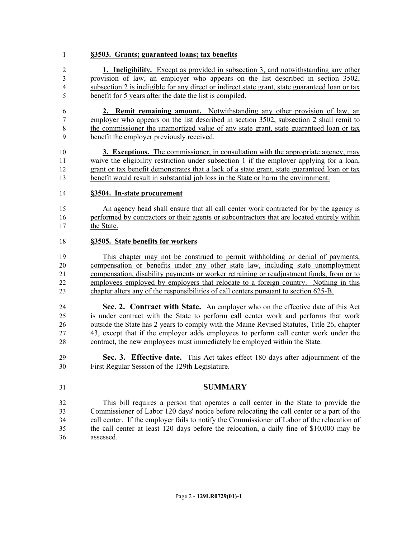## **§3503. Grants; guaranteed loans; tax benefits**

 **1. Ineligibility.** Except as provided in subsection 3, and notwithstanding any other provision of law, an employer who appears on the list described in section 3502, subsection 2 is ineligible for any direct or indirect state grant, state guaranteed loan or tax benefit for 5 years after the date the list is compiled.

 **2. Remit remaining amount.** Notwithstanding any other provision of law, an employer who appears on the list described in section 3502, subsection 2 shall remit to the commissioner the unamortized value of any state grant, state guaranteed loan or tax benefit the employer previously received.

 **3. Exceptions.** The commissioner, in consultation with the appropriate agency, may waive the eligibility restriction under subsection 1 if the employer applying for a loan, grant or tax benefit demonstrates that a lack of a state grant, state guaranteed loan or tax benefit would result in substantial job loss in the State or harm the environment.

### **§3504. In-state procurement**

 An agency head shall ensure that all call center work contracted for by the agency is performed by contractors or their agents or subcontractors that are located entirely within 17 the State.

#### **§3505. State benefits for workers**

 This chapter may not be construed to permit withholding or denial of payments, compensation or benefits under any other state law, including state unemployment compensation, disability payments or worker retraining or readjustment funds, from or to employees employed by employers that relocate to a foreign country. Nothing in this chapter alters any of the responsibilities of call centers pursuant to section 625-B.

 **Sec. 2. Contract with State.** An employer who on the effective date of this Act is under contract with the State to perform call center work and performs that work outside the State has 2 years to comply with the Maine Revised Statutes, Title 26, chapter 43, except that if the employer adds employees to perform call center work under the contract, the new employees must immediately be employed within the State.

 **Sec. 3. Effective date.** This Act takes effect 180 days after adjournment of the First Regular Session of the 129th Legislature.

### **SUMMARY**

 This bill requires a person that operates a call center in the State to provide the Commissioner of Labor 120 days' notice before relocating the call center or a part of the call center. If the employer fails to notify the Commissioner of Labor of the relocation of the call center at least 120 days before the relocation, a daily fine of \$10,000 may be assessed.